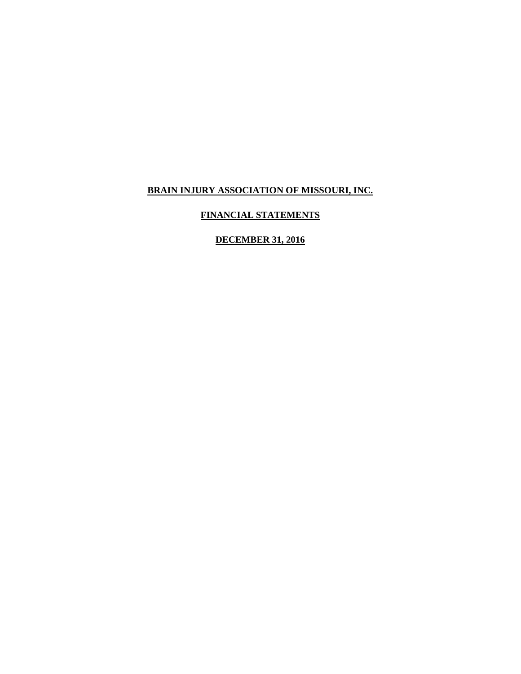# **FINANCIAL STATEMENTS**

# **DECEMBER 31, 2016**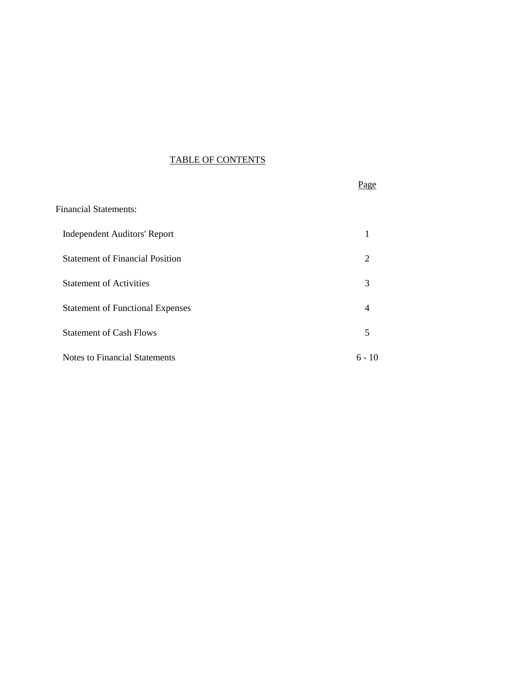# TABLE OF CONTENTS

|                                         | Page     |
|-----------------------------------------|----------|
| <b>Financial Statements:</b>            |          |
| <b>Independent Auditors' Report</b>     |          |
| <b>Statement of Financial Position</b>  | 2        |
| <b>Statement of Activities</b>          | 3        |
| <b>Statement of Functional Expenses</b> | 4        |
| <b>Statement of Cash Flows</b>          | 5        |
| <b>Notes to Financial Statements</b>    | $6 - 10$ |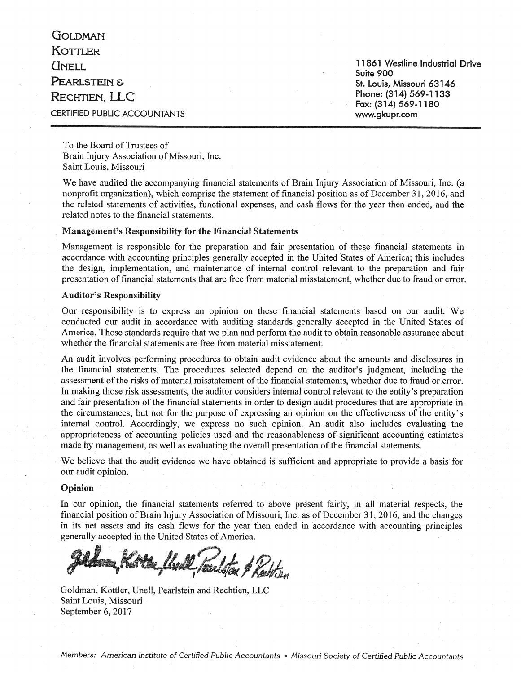GOLDMAN **KOTTLER** UNELL PEARLSTEIN & RECHTIEN, LLC CERTIFIED PUBLIC ACCOUNTANTS

11861 Westline Industrial Drive Suite 900 St. Louis, Missouri 63146 Phone: (314) 569-1133 Fax: (314) 569-1180 www.gkupr.com

To the Board of Trustees of Brain Injury Association of Missouri, Inc. Saint Louis, Missouri

We have audited the accompanying financial statements of Brain Injury Association of Missouri, Inc. (a nonprofit organization), which comprise the statement of financial position as of December 31, 2016, and the related statements of activities, functional expenses, and cash flows for the year then ended, and the related notes to the financial statements.

### Management's Responsibility for the Financial Statements

Management is responsible for the preparation and fair presentation of these financial statements in accordance with accounting principles generally accepted in the United States of America; this includes the design, implementation, and maintenance of internal control relevant to the preparation and fair presentation of financial statements that are free from material misstatement, whether due to fraud or error.

#### Auditor's Responsibility

Our responsibility is to express an opinion on these financial statements based on our audit. We conducted our audit in accordance with auditing standards generally accepted in the United States of America. Those standards require that we plan and perform the audit to obtain reasonable assurance about whether the financial statements are free from material misstatement.

An audit involves performing procedures to obtain audit evidence about the amounts and disclosures in the fmancial statements. The procedures selected depend on the auditor's judgment, including the assessment of the risks of material misstatement of the fmancial statements, whether due to fraud or error. In making those risk assessments, the auditor considers internal control relevant to the entity's preparation and fair presentation of the financial statements in order to design audit procedures that are appropriate in the circumstances, but not for the purpose of expressing an opinion on the effectiveness of the entity's internal control. Accordingly, we express no such opinion. An audit also includes evaluating the appropriateness of accounting policies used and the reasonableness of significant accounting estimates made by management, as well as evaluating the overall presentation of the financial statements.

We believe that the audit evidence we have obtained is sufficient and appropriate to provide a basis for our audit opinion.

#### Opinion

In our opinion, the financial statements referred to above present fairly, in all material respects, the financial position of Brain Injury Association of Missouri, Inc. as of December 31, 2016, and the changes in its net assets and its cash flows for the year then ended in accordance with accounting principles generally accepted in the United States of America.

bora Kotte, Undl-Taulsta & Rastian

Goldman, Kottler, Unell, Pearlstein and Rechtien, LLC Saint Louis, Missouri September 6; 2017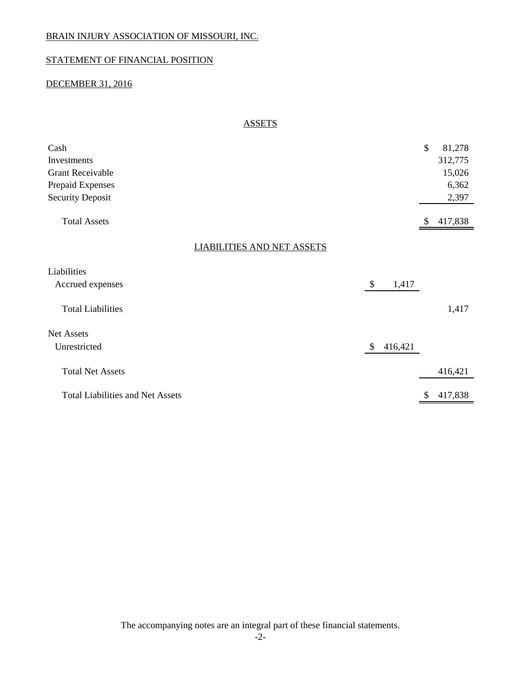# STATEMENT OF FINANCIAL POSITION

# DECEMBER 31, 2016

# **ASSETS**

| Cash                                    |                                   |               | \$    | 81,278  |
|-----------------------------------------|-----------------------------------|---------------|-------|---------|
| Investments                             |                                   |               |       | 312,775 |
| <b>Grant Receivable</b>                 |                                   |               |       | 15,026  |
| Prepaid Expenses                        |                                   |               |       | 6,362   |
| <b>Security Deposit</b>                 |                                   |               |       | 2,397   |
|                                         |                                   |               |       |         |
| <b>Total Assets</b>                     |                                   |               | S     | 417,838 |
|                                         | <b>LIABILITIES AND NET ASSETS</b> |               |       |         |
| Liabilities                             |                                   |               |       |         |
| Accrued expenses                        |                                   | $\mathcal{S}$ | 1,417 |         |
| <b>Total Liabilities</b>                |                                   |               |       | 1,417   |
| Net Assets                              |                                   |               |       |         |
| Unrestricted                            |                                   | 416,421<br>\$ |       |         |
| <b>Total Net Assets</b>                 |                                   |               |       | 416,421 |
| <b>Total Liabilities and Net Assets</b> |                                   |               | \$    | 417,838 |

The accompanying notes are an integral part of these financial statements.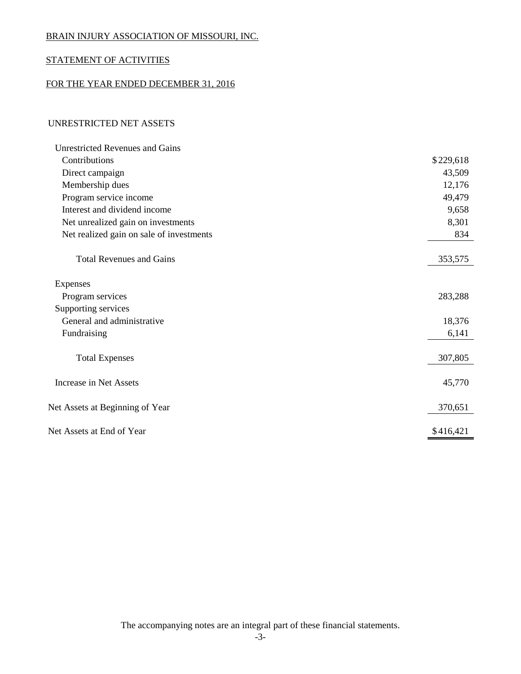# STATEMENT OF ACTIVITIES

# FOR THE YEAR ENDED DECEMBER 31, 2016

# UNRESTRICTED NET ASSETS

| <b>Unrestricted Revenues and Gains</b>   |           |
|------------------------------------------|-----------|
| Contributions                            | \$229,618 |
| Direct campaign                          | 43,509    |
| Membership dues                          | 12,176    |
| Program service income                   | 49,479    |
| Interest and dividend income             | 9,658     |
| Net unrealized gain on investments       | 8,301     |
| Net realized gain on sale of investments | 834       |
| <b>Total Revenues and Gains</b>          | 353,575   |
| Expenses                                 |           |
| Program services                         | 283,288   |
| Supporting services                      |           |
| General and administrative               | 18,376    |
| Fundraising                              | 6,141     |
| <b>Total Expenses</b>                    | 307,805   |
| Increase in Net Assets                   | 45,770    |
| Net Assets at Beginning of Year          | 370,651   |
| Net Assets at End of Year                | \$416,421 |

The accompanying notes are an integral part of these financial statements.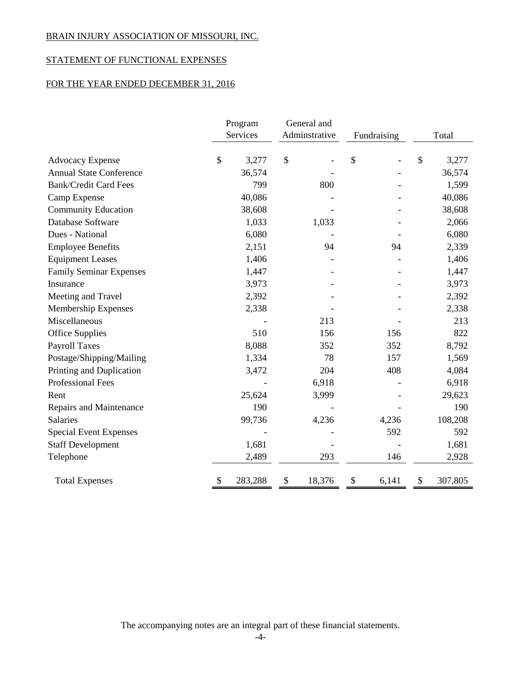# STATEMENT OF FUNCTIONAL EXPENSES

# FOR THE YEAR ENDED DECEMBER 31, 2016

|                                | Program<br>Services |         | General and<br>Adminstrative |        | Fundraising |       | Total |         |
|--------------------------------|---------------------|---------|------------------------------|--------|-------------|-------|-------|---------|
|                                |                     |         |                              |        |             |       |       |         |
| <b>Advocacy Expense</b>        | \$                  | 3,277   | $\boldsymbol{\mathsf{S}}$    |        | \$          |       | \$    | 3,277   |
| <b>Annual State Conference</b> |                     | 36,574  |                              |        |             |       |       | 36,574  |
| <b>Bank/Credit Card Fees</b>   |                     | 799     |                              | 800    |             |       |       | 1,599   |
| Camp Expense                   |                     | 40,086  |                              |        |             |       |       | 40,086  |
| <b>Community Education</b>     |                     | 38,608  |                              |        |             |       |       | 38,608  |
| Database Software              |                     | 1,033   |                              | 1,033  |             |       |       | 2,066   |
| Dues - National                |                     | 6,080   |                              |        |             |       |       | 6,080   |
| <b>Employee Benefits</b>       |                     | 2,151   |                              | 94     |             | 94    |       | 2,339   |
| <b>Equipment Leases</b>        |                     | 1,406   |                              |        |             |       |       | 1,406   |
| <b>Family Seminar Expenses</b> |                     | 1,447   |                              |        |             |       |       | 1,447   |
| Insurance                      |                     | 3,973   |                              |        |             |       |       | 3,973   |
| Meeting and Travel             |                     | 2,392   |                              |        |             |       |       | 2,392   |
| Membership Expenses            |                     | 2,338   |                              |        |             |       |       | 2,338   |
| Miscellaneous                  |                     |         |                              | 213    |             |       |       | 213     |
| <b>Office Supplies</b>         |                     | 510     |                              | 156    |             | 156   |       | 822     |
| <b>Payroll Taxes</b>           |                     | 8,088   |                              | 352    |             | 352   |       | 8,792   |
| Postage/Shipping/Mailing       |                     | 1,334   |                              | 78     |             | 157   |       | 1,569   |
| Printing and Duplication       |                     | 3,472   |                              | 204    |             | 408   |       | 4,084   |
| Professional Fees              |                     |         |                              | 6,918  |             |       |       | 6,918   |
| Rent                           |                     | 25,624  |                              | 3,999  |             |       |       | 29,623  |
| Repairs and Maintenance        |                     | 190     |                              |        |             |       |       | 190     |
| <b>Salaries</b>                |                     | 99,736  |                              | 4,236  |             | 4,236 |       | 108,208 |
| <b>Special Event Expenses</b>  |                     |         |                              |        |             | 592   |       | 592     |
| <b>Staff Development</b>       |                     | 1,681   |                              |        |             |       |       | 1,681   |
| Telephone                      |                     | 2,489   |                              | 293    |             | 146   |       | 2,928   |
| <b>Total Expenses</b>          | \$                  | 283,288 | \$                           | 18,376 | \$          | 6,141 | \$    | 307,805 |

The accompanying notes are an integral part of these financial statements.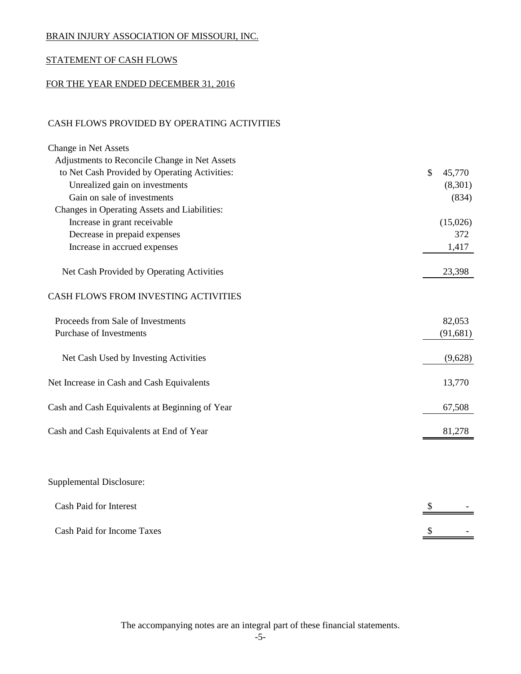# STATEMENT OF CASH FLOWS

# FOR THE YEAR ENDED DECEMBER 31, 2016

# CASH FLOWS PROVIDED BY OPERATING ACTIVITIES

| Change in Net Assets                           |              |
|------------------------------------------------|--------------|
| Adjustments to Reconcile Change in Net Assets  |              |
| to Net Cash Provided by Operating Activities:  | \$<br>45,770 |
| Unrealized gain on investments                 | (8,301)      |
| Gain on sale of investments                    | (834)        |
| Changes in Operating Assets and Liabilities:   |              |
| Increase in grant receivable                   | (15,026)     |
| Decrease in prepaid expenses                   | 372          |
| Increase in accrued expenses                   | 1,417        |
| Net Cash Provided by Operating Activities      | 23,398       |
| CASH FLOWS FROM INVESTING ACTIVITIES           |              |
| Proceeds from Sale of Investments              | 82,053       |
| Purchase of Investments                        | (91, 681)    |
| Net Cash Used by Investing Activities          | (9,628)      |
| Net Increase in Cash and Cash Equivalents      | 13,770       |
| Cash and Cash Equivalents at Beginning of Year | 67,508       |
| Cash and Cash Equivalents at End of Year       | 81,278       |
|                                                |              |
| Supplemental Disclosure:                       |              |
| <b>Cash Paid for Interest</b>                  |              |
|                                                |              |

The accompanying notes are an integral part of these financial statements.

 $\frac{\$}{\$}$  -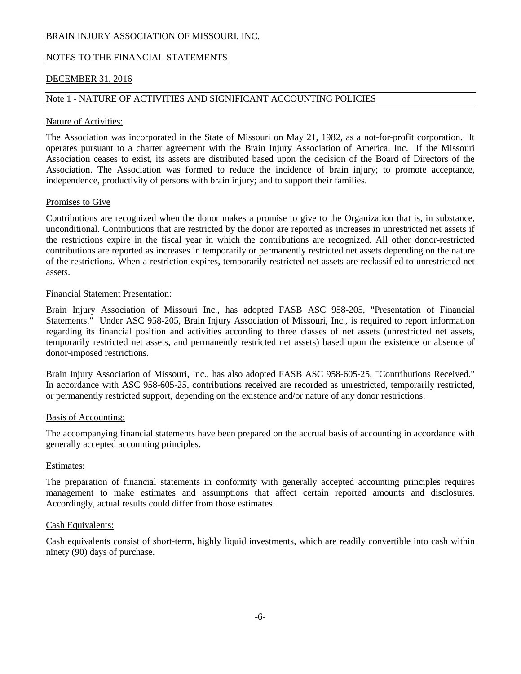## NOTES TO THE FINANCIAL STATEMENTS

## DECEMBER 31, 2016

## Note 1 - NATURE OF ACTIVITIES AND SIGNIFICANT ACCOUNTING POLICIES

### Nature of Activities:

The Association was incorporated in the State of Missouri on May 21, 1982, as a not-for-profit corporation. It operates pursuant to a charter agreement with the Brain Injury Association of America, Inc. If the Missouri Association ceases to exist, its assets are distributed based upon the decision of the Board of Directors of the Association. The Association was formed to reduce the incidence of brain injury; to promote acceptance, independence, productivity of persons with brain injury; and to support their families.

## Promises to Give

Contributions are recognized when the donor makes a promise to give to the Organization that is, in substance, unconditional. Contributions that are restricted by the donor are reported as increases in unrestricted net assets if the restrictions expire in the fiscal year in which the contributions are recognized. All other donor-restricted contributions are reported as increases in temporarily or permanently restricted net assets depending on the nature of the restrictions. When a restriction expires, temporarily restricted net assets are reclassified to unrestricted net assets.

## Financial Statement Presentation:

Brain Injury Association of Missouri Inc., has adopted FASB ASC 958-205, "Presentation of Financial Statements." Under ASC 958-205, Brain Injury Association of Missouri, Inc., is required to report information regarding its financial position and activities according to three classes of net assets (unrestricted net assets, temporarily restricted net assets, and permanently restricted net assets) based upon the existence or absence of donor-imposed restrictions.

Brain Injury Association of Missouri, Inc., has also adopted FASB ASC 958-605-25, "Contributions Received." In accordance with ASC 958-605-25, contributions received are recorded as unrestricted, temporarily restricted, or permanently restricted support, depending on the existence and/or nature of any donor restrictions.

## Basis of Accounting:

The accompanying financial statements have been prepared on the accrual basis of accounting in accordance with generally accepted accounting principles.

### Estimates:

The preparation of financial statements in conformity with generally accepted accounting principles requires management to make estimates and assumptions that affect certain reported amounts and disclosures. Accordingly, actual results could differ from those estimates.

### Cash Equivalents:

Cash equivalents consist of short-term, highly liquid investments, which are readily convertible into cash within ninety (90) days of purchase.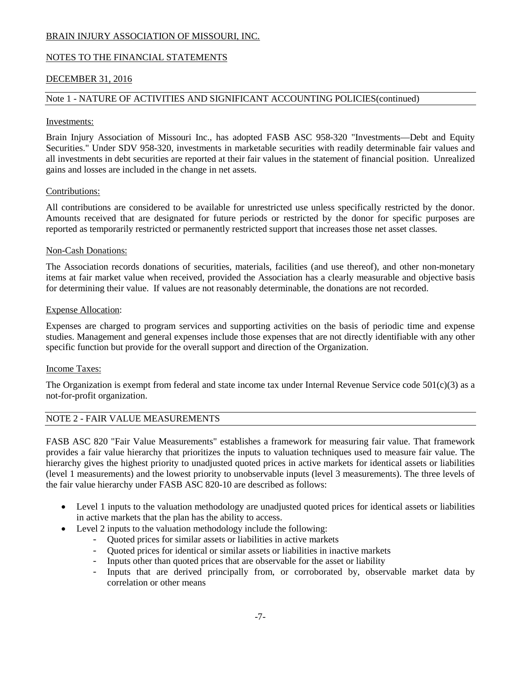## NOTES TO THE FINANCIAL STATEMENTS

## DECEMBER 31, 2016

## Note 1 - NATURE OF ACTIVITIES AND SIGNIFICANT ACCOUNTING POLICIES(continued)

### Investments:

Brain Injury Association of Missouri Inc., has adopted FASB ASC 958-320 "Investments—Debt and Equity Securities." Under SDV 958-320, investments in marketable securities with readily determinable fair values and all investments in debt securities are reported at their fair values in the statement of financial position. Unrealized gains and losses are included in the change in net assets.

## Contributions:

All contributions are considered to be available for unrestricted use unless specifically restricted by the donor. Amounts received that are designated for future periods or restricted by the donor for specific purposes are reported as temporarily restricted or permanently restricted support that increases those net asset classes.

## Non-Cash Donations:

The Association records donations of securities, materials, facilities (and use thereof), and other non-monetary items at fair market value when received, provided the Association has a clearly measurable and objective basis for determining their value. If values are not reasonably determinable, the donations are not recorded.

### Expense Allocation:

Expenses are charged to program services and supporting activities on the basis of periodic time and expense studies. Management and general expenses include those expenses that are not directly identifiable with any other specific function but provide for the overall support and direction of the Organization.

### Income Taxes:

The Organization is exempt from federal and state income tax under Internal Revenue Service code 501(c)(3) as a not-for-profit organization.

# NOTE 2 - FAIR VALUE MEASUREMENTS

FASB ASC 820 "Fair Value Measurements" establishes a framework for measuring fair value. That framework provides a fair value hierarchy that prioritizes the inputs to valuation techniques used to measure fair value. The hierarchy gives the highest priority to unadjusted quoted prices in active markets for identical assets or liabilities (level 1 measurements) and the lowest priority to unobservable inputs (level 3 measurements). The three levels of the fair value hierarchy under FASB ASC 820-10 are described as follows:

- Level 1 inputs to the valuation methodology are unadjusted quoted prices for identical assets or liabilities in active markets that the plan has the ability to access.
- Level 2 inputs to the valuation methodology include the following:
	- Quoted prices for similar assets or liabilities in active markets
	- Quoted prices for identical or similar assets or liabilities in inactive markets
	- Inputs other than quoted prices that are observable for the asset or liability
	- Inputs that are derived principally from, or corroborated by, observable market data by correlation or other means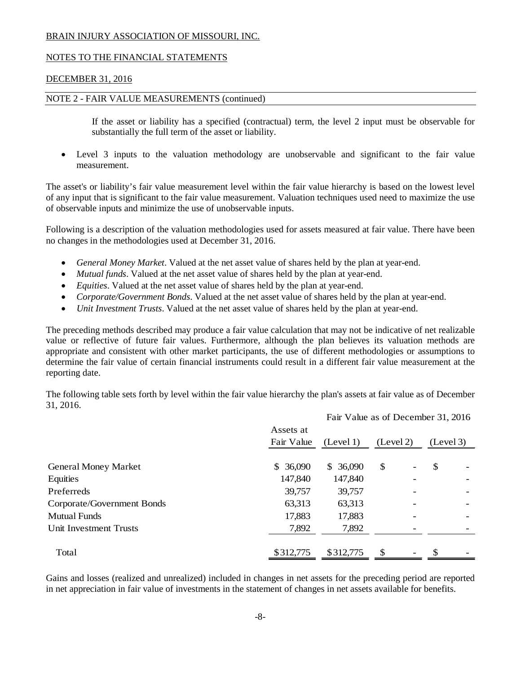## NOTES TO THE FINANCIAL STATEMENTS

## DECEMBER 31, 2016

## NOTE 2 - FAIR VALUE MEASUREMENTS (continued)

If the asset or liability has a specified (contractual) term, the level 2 input must be observable for substantially the full term of the asset or liability.

• Level 3 inputs to the valuation methodology are unobservable and significant to the fair value measurement.

The asset's or liability's fair value measurement level within the fair value hierarchy is based on the lowest level of any input that is significant to the fair value measurement. Valuation techniques used need to maximize the use of observable inputs and minimize the use of unobservable inputs.

Following is a description of the valuation methodologies used for assets measured at fair value. There have been no changes in the methodologies used at December 31, 2016.

- *General Money Market*. Valued at the net asset value of shares held by the plan at year-end.
- *Mutual funds*. Valued at the net asset value of shares held by the plan at year-end.
- *Equities*. Valued at the net asset value of shares held by the plan at year-end.
- *Corporate/Government Bonds*. Valued at the net asset value of shares held by the plan at year-end.
- *Unit Investment Trusts*. Valued at the net asset value of shares held by the plan at year-end.

The preceding methods described may produce a fair value calculation that may not be indicative of net realizable value or reflective of future fair values. Furthermore, although the plan believes its valuation methods are appropriate and consistent with other market participants, the use of different methodologies or assumptions to determine the fair value of certain financial instruments could result in a different fair value measurement at the reporting date.

The following table sets forth by level within the fair value hierarchy the plan's assets at fair value as of December 31, 2016.

|                             | Fair Value as of December 31, 2016 |           |           |  |           |  |  |
|-----------------------------|------------------------------------|-----------|-----------|--|-----------|--|--|
|                             | Assets at<br>Fair Value            |           | (Level 2) |  | (Level 3) |  |  |
| <b>General Money Market</b> | \$36,090                           | \$36,090  | \$        |  | \$        |  |  |
| Equities                    | 147,840                            | 147,840   |           |  |           |  |  |
| Preferreds                  | 39,757                             | 39,757    |           |  |           |  |  |
| Corporate/Government Bonds  | 63,313                             | 63,313    |           |  |           |  |  |
| <b>Mutual Funds</b>         | 17,883                             | 17,883    |           |  |           |  |  |
| Unit Investment Trusts      | 7,892                              | 7,892     |           |  |           |  |  |
| Total                       | \$312,775                          | \$312,775 | \$        |  |           |  |  |

Gains and losses (realized and unrealized) included in changes in net assets for the preceding period are reported in net appreciation in fair value of investments in the statement of changes in net assets available for benefits.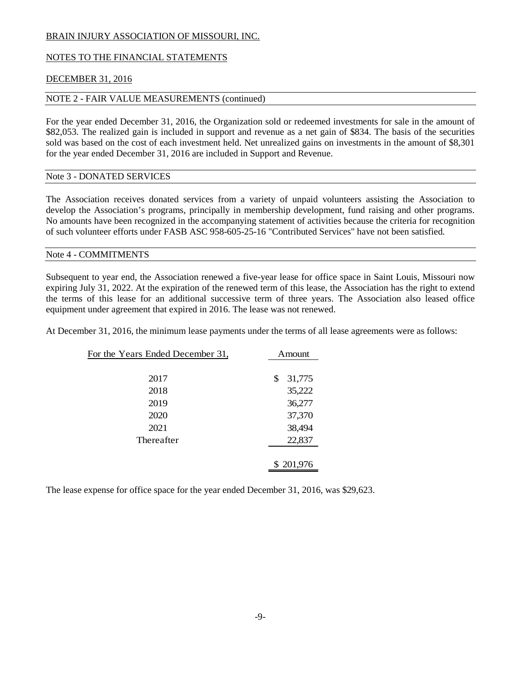## NOTES TO THE FINANCIAL STATEMENTS

## DECEMBER 31, 2016

## NOTE 2 - FAIR VALUE MEASUREMENTS (continued)

For the year ended December 31, 2016, the Organization sold or redeemed investments for sale in the amount of \$82,053. The realized gain is included in support and revenue as a net gain of \$834. The basis of the securities sold was based on the cost of each investment held. Net unrealized gains on investments in the amount of \$8,301 for the year ended December 31, 2016 are included in Support and Revenue.

## Note 3 - DONATED SERVICES

The Association receives donated services from a variety of unpaid volunteers assisting the Association to develop the Association's programs, principally in membership development, fund raising and other programs. No amounts have been recognized in the accompanying statement of activities because the criteria for recognition of such volunteer efforts under FASB ASC 958-605-25-16 "Contributed Services" have not been satisfied.

## Note 4 - COMMITMENTS

Subsequent to year end, the Association renewed a five-year lease for office space in Saint Louis, Missouri now expiring July 31, 2022. At the expiration of the renewed term of this lease, the Association has the right to extend the terms of this lease for an additional successive term of three years. The Association also leased office equipment under agreement that expired in 2016. The lease was not renewed.

At December 31, 2016, the minimum lease payments under the terms of all lease agreements were as follows:

| For the Years Ended December 31, | Amount       |
|----------------------------------|--------------|
|                                  |              |
| 2017                             | 31,775<br>\$ |
| 2018                             | 35,222       |
| 2019                             | 36,277       |
| 2020                             | 37,370       |
| 2021                             | 38,494       |
| Thereafter                       | 22,837       |
|                                  |              |
|                                  | \$201,976    |

The lease expense for office space for the year ended December 31, 2016, was \$29,623.